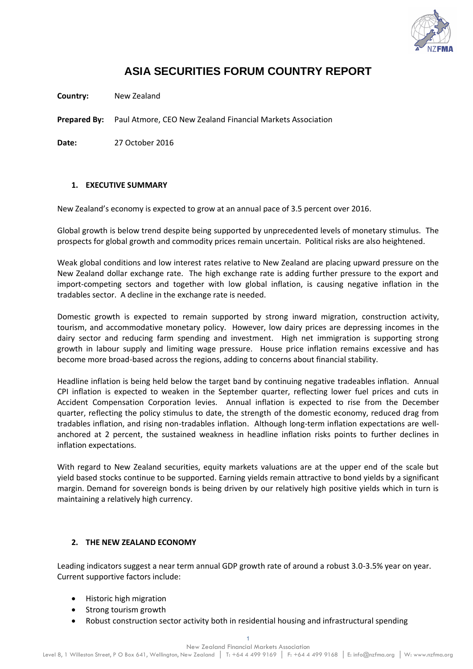

# **ASIA SECURITIES FORUM COUNTRY REPORT**

**Country:** New Zealand

**Prepared By:** Paul Atmore, CEO New Zealand Financial Markets Association

**Date:** 27 October 2016

#### **1. EXECUTIVE SUMMARY**

New Zealand's economy is expected to grow at an annual pace of 3.5 percent over 2016.

Global growth is below trend despite being supported by unprecedented levels of monetary stimulus. The prospects for global growth and commodity prices remain uncertain. Political risks are also heightened.

Weak global conditions and low interest rates relative to New Zealand are placing upward pressure on the New Zealand dollar exchange rate. The high exchange rate is adding further pressure to the export and import-competing sectors and together with low global inflation, is causing negative inflation in the tradables sector. A decline in the exchange rate is needed.

Domestic growth is expected to remain supported by strong inward migration, construction activity, tourism, and accommodative monetary policy. However, low dairy prices are depressing incomes in the dairy sector and reducing farm spending and investment. High net immigration is supporting strong growth in labour supply and limiting wage pressure. House price inflation remains excessive and has become more broad-based across the regions, adding to concerns about financial stability.

Headline inflation is being held below the target band by continuing negative tradeables inflation. Annual CPI inflation is expected to weaken in the September quarter, reflecting lower fuel prices and cuts in Accident Compensation Corporation levies. Annual inflation is expected to rise from the December quarter, reflecting the policy stimulus to date, the strength of the domestic economy, reduced drag from tradables inflation, and rising non-tradables inflation. Although long-term inflation expectations are wellanchored at 2 percent, the sustained weakness in headline inflation risks points to further declines in inflation expectations.

With regard to New Zealand securities, equity markets valuations are at the upper end of the scale but yield based stocks continue to be supported. Earning yields remain attractive to bond yields by a significant margin. Demand for sovereign bonds is being driven by our relatively high positive yields which in turn is maintaining a relatively high currency.

#### **2. THE NEW ZEALAND ECONOMY**

Leading indicators suggest a near term annual GDP growth rate of around a robust 3.0-3.5% year on year. Current supportive factors include:

- Historic high migration
- Strong tourism growth
- Robust construction sector activity both in residential housing and infrastructural spending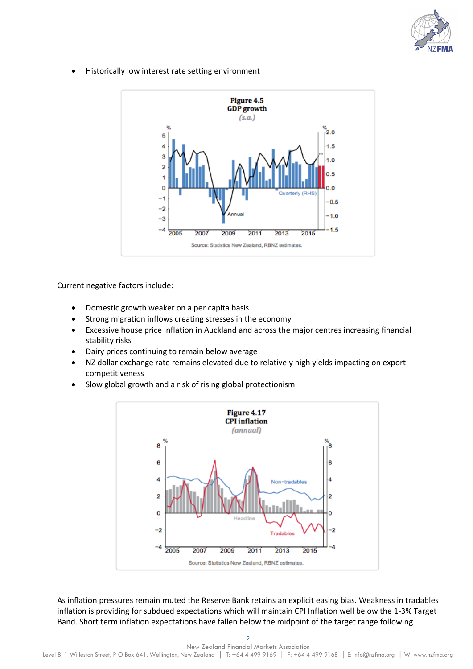

Historically low interest rate setting environment



Current negative factors include:

- Domestic growth weaker on a per capita basis
- Strong migration inflows creating stresses in the economy
- Excessive house price inflation in Auckland and across the major centres increasing financial stability risks
- Dairy prices continuing to remain below average
- NZ dollar exchange rate remains elevated due to relatively high yields impacting on export competitiveness
- Slow global growth and a risk of rising global protectionism



As inflation pressures remain muted the Reserve Bank retains an explicit easing bias. Weakness in tradables inflation is providing for subdued expectations which will maintain CPI Inflation well below the 1-3% Target Band. Short term inflation expectations have fallen below the midpoint of the target range following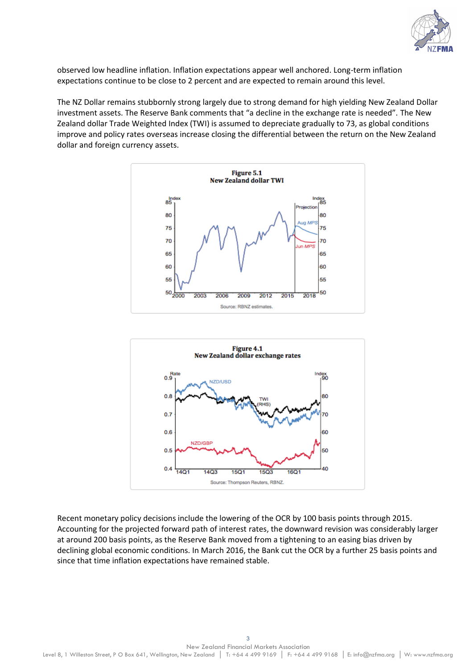

observed low headline inflation. Inflation expectations appear well anchored. Long-term inflation expectations continue to be close to 2 percent and are expected to remain around this level.

The NZ Dollar remains stubbornly strong largely due to strong demand for high yielding New Zealand Dollar investment assets. The Reserve Bank comments that "a decline in the exchange rate is needed". The New Zealand dollar Trade Weighted Index (TWI) is assumed to depreciate gradually to 73, as global conditions improve and policy rates overseas increase closing the differential between the return on the New Zealand dollar and foreign currency assets.





Recent monetary policy decisions include the lowering of the OCR by 100 basis points through 2015. Accounting for the projected forward path of interest rates, the downward revision was considerably larger at around 200 basis points, as the Reserve Bank moved from a tightening to an easing bias driven by declining global economic conditions. In March 2016, the Bank cut the OCR by a further 25 basis points and since that time inflation expectations have remained stable.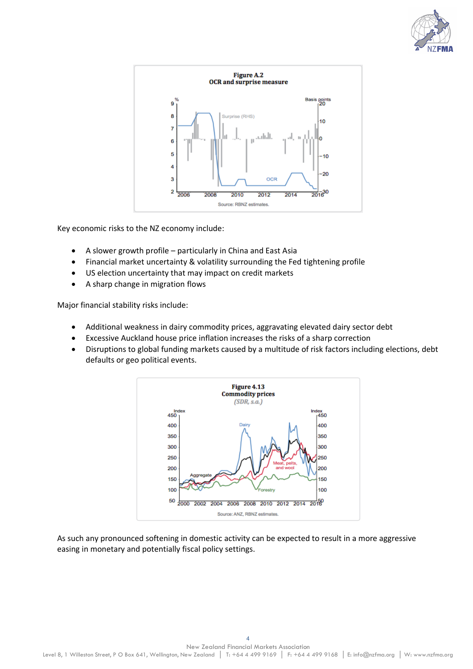



Key economic risks to the NZ economy include:

- A slower growth profile particularly in China and East Asia
- Financial market uncertainty & volatility surrounding the Fed tightening profile
- US election uncertainty that may impact on credit markets
- A sharp change in migration flows

Major financial stability risks include:

- Additional weakness in dairy commodity prices, aggravating elevated dairy sector debt
- Excessive Auckland house price inflation increases the risks of a sharp correction
- Disruptions to global funding markets caused by a multitude of risk factors including elections, debt defaults or geo political events.



As such any pronounced softening in domestic activity can be expected to result in a more aggressive easing in monetary and potentially fiscal policy settings.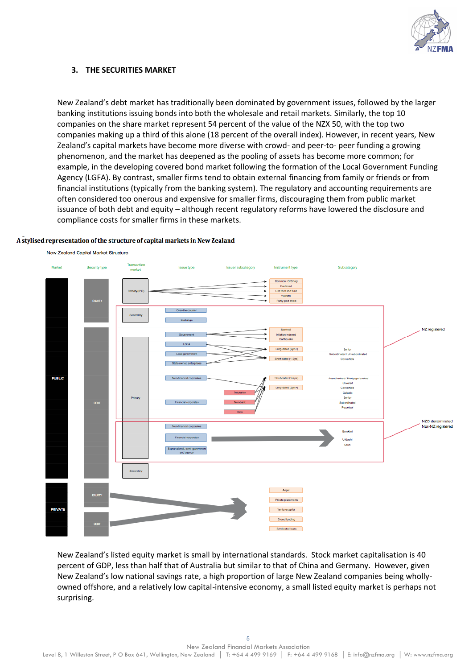

#### **3. THE SECURITIES MARKET**

New Zealand's debt market has traditionally been dominated by government issues, followed by the larger banking institutions issuing bonds into both the wholesale and retail markets. Similarly, the top 10 companies on the share market represent 54 percent of the value of the NZX 50, with the top two companies making up a third of this alone (18 percent of the overall index). However, in recent years, New Zealand's capital markets have become more diverse with crowd- and peer-to- peer funding a growing phenomenon, and the market has deepened as the pooling of assets has become more common; for example, in the developing covered bond market following the formation of the Local Government Funding Agency (LGFA). By contrast, smaller firms tend to obtain external financing from family or friends or from financial institutions (typically from the banking system). The regulatory and accounting requirements are often considered too onerous and expensive for smaller firms, discouraging them from public market issuance of both debt and equity – although recent regulatory reforms have lowered the disclosure and compliance costs for smaller firms in these markets.

#### A stylised representation of the structure of capital markets in New Zealand



New Zealand's listed equity market is small by international standards. Stock market capitalisation is 40 percent of GDP, less than half that of Australia but similar to that of China and Germany. However, given New Zealand's low national savings rate, a high proportion of large New Zealand companies being whollyowned offshore, and a relatively low capital-intensive economy, a small listed equity market is perhaps not surprising.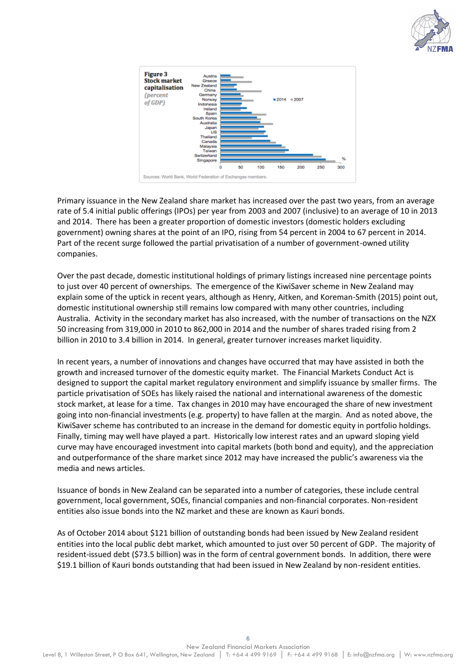



Primary issuance in the New Zealand share market has increased over the past two years, from an average rate of 5.4 initial public offerings (IPOs) per year from 2003 and 2007 (inclusive) to an average of 10 in 2013 and 2014. There has been a greater proportion of domestic investors (domestic holders excluding government) owning shares at the point of an IPO, rising from 54 percent in 2004 to 67 percent in 2014. Part of the recent surge followed the partial privatisation of a number of government-owned utility companies.

Over the past decade, domestic institutional holdings of primary listings increased nine percentage points to just over 40 percent of ownerships. The emergence of the KiwiSaver scheme in New Zealand may explain some of the uptick in recent years, although as Henry, Aitken, and Koreman-Smith (2015) point out, domestic institutional ownership still remains low compared with many other countries, including Australia. Activity in the secondary market has also increased, with the number of transactions on the NZX 50 increasing from 319,000 in 2010 to 862,000 in 2014 and the number of shares traded rising from 2 billion in 2010 to 3.4 billion in 2014. In general, greater turnover increases market liquidity.

In recent years, a number of innovations and changes have occurred that may have assisted in both the growth and increased turnover of the domestic equity market. The Financial Markets Conduct Act is designed to support the capital market regulatory environment and simplify issuance by smaller firms. The particle privatisation of SOEs has likely raised the national and international awareness of the domestic stock market, at lease for a time. Tax changes in 2010 may have encouraged the share of new investment going into non-financial investments (e.g. property) to have fallen at the margin. And as noted above, the KiwiSaver scheme has contributed to an increase in the demand for domestic equity in portfolio holdings. Finally, timing may well have played a part. Historically low interest rates and an upward sloping yield curve may have encouraged investment into capital markets (both bond and equity), and the appreciation and outperformance of the share market since 2012 may have increased the public's awareness via the media and news articles.

Issuance of bonds in New Zealand can be separated into a number of categories, these include central government, local government, SOEs, financial companies and non-financial corporates. Non-resident entities also issue bonds into the NZ market and these are known as Kauri bonds.

As of October 2014 about \$121 billion of outstanding bonds had been issued by New Zealand resident entities into the local public debt market, which amounted to just over 50 percent of GDP. The majority of resident-issued debt (\$73.5 billion) was in the form of central government bonds. In addition, there were \$19.1 billion of Kauri bonds outstanding that had been issued in New Zealand by non-resident entities.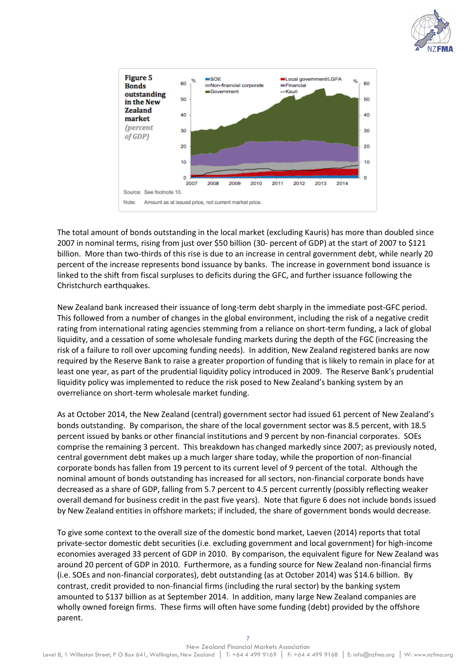



The total amount of bonds outstanding in the local market (excluding Kauris) has more than doubled since 2007 in nominal terms, rising from just over \$50 billion (30- percent of GDP) at the start of 2007 to \$121 billion. More than two-thirds of this rise is due to an increase in central government debt, while nearly 20 percent of the increase represents bond issuance by banks. The increase in government bond issuance is linked to the shift from fiscal surpluses to deficits during the GFC, and further issuance following the Christchurch earthquakes.

New Zealand bank increased their issuance of long-term debt sharply in the immediate post-GFC period. This followed from a number of changes in the global environment, including the risk of a negative credit rating from international rating agencies stemming from a reliance on short-term funding, a lack of global liquidity, and a cessation of some wholesale funding markets during the depth of the FGC (increasing the risk of a failure to roll over upcoming funding needs). In addition, New Zealand registered banks are now required by the Reserve Bank to raise a greater proportion of funding that is likely to remain in place for at least one year, as part of the prudential liquidity policy introduced in 2009. The Reserve Bank's prudential liquidity policy was implemented to reduce the risk posed to New Zealand's banking system by an overreliance on short-term wholesale market funding.

As at October 2014, the New Zealand (central) government sector had issued 61 percent of New Zealand's bonds outstanding. By comparison, the share of the local government sector was 8.5 percent, with 18.5 percent issued by banks or other financial institutions and 9 percent by non-financial corporates. SOEs comprise the remaining 3 percent. This breakdown has changed markedly since 2007; as previously noted, central government debt makes up a much larger share today, while the proportion of non-financial corporate bonds has fallen from 19 percent to its current level of 9 percent of the total. Although the nominal amount of bonds outstanding has increased for all sectors, non-financial corporate bonds have decreased as a share of GDP, falling from 5.7 percent to 4.5 percent currently (possibly reflecting weaker overall demand for business credit in the past five years). Note that figure 6 does not include bonds issued by New Zealand entities in offshore markets; if included, the share of government bonds would decrease.

To give some context to the overall size of the domestic bond market, Laeven (2014) reports that total private-sector domestic debt securities (i.e. excluding government and local government) for high-income economies averaged 33 percent of GDP in 2010. By comparison, the equivalent figure for New Zealand was around 20 percent of GDP in 2010. Furthermore, as a funding source for New Zealand non-financial firms (i.e. SOEs and non-financial corporates), debt outstanding (as at October 2014) was \$14.6 billion. By contrast, credit provided to non-financial firms (including the rural sector) by the banking system amounted to \$137 billion as at September 2014. In addition, many large New Zealand companies are wholly owned foreign firms. These firms will often have some funding (debt) provided by the offshore parent.

7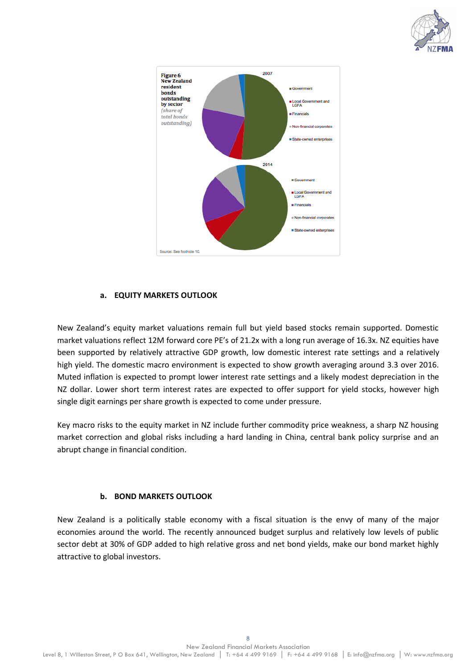



# **a. EQUITY MARKETS OUTLOOK**

New Zealand's equity market valuations remain full but yield based stocks remain supported. Domestic market valuations reflect 12M forward core PE's of 21.2x with a long run average of 16.3x. NZ equities have been supported by relatively attractive GDP growth, low domestic interest rate settings and a relatively high yield. The domestic macro environment is expected to show growth averaging around 3.3 over 2016. Muted inflation is expected to prompt lower interest rate settings and a likely modest depreciation in the NZ dollar. Lower short term interest rates are expected to offer support for yield stocks, however high single digit earnings per share growth is expected to come under pressure.

Key macro risks to the equity market in NZ include further commodity price weakness, a sharp NZ housing market correction and global risks including a hard landing in China, central bank policy surprise and an abrupt change in financial condition.

#### **b. BOND MARKETS OUTLOOK**

New Zealand is a politically stable economy with a fiscal situation is the envy of many of the major economies around the world. The recently announced budget surplus and relatively low levels of public sector debt at 30% of GDP added to high relative gross and net bond yields, make our bond market highly attractive to global investors.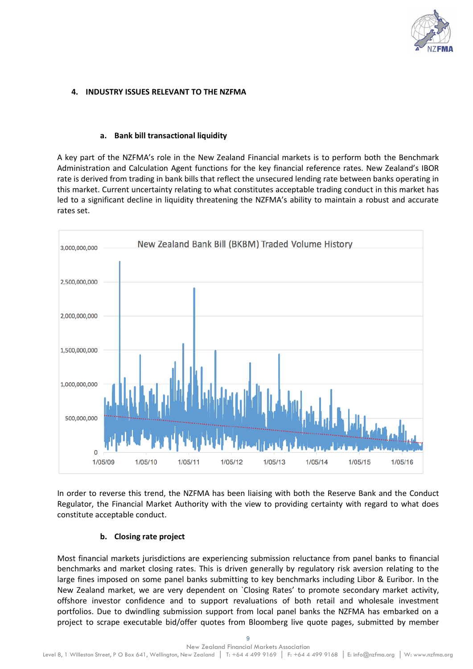

### **4. INDUSTRY ISSUES RELEVANT TO THE NZFMA**

#### **a. Bank bill transactional liquidity**

A key part of the NZFMA's role in the New Zealand Financial markets is to perform both the Benchmark Administration and Calculation Agent functions for the key financial reference rates. New Zealand's IBOR rate is derived from trading in bank bills that reflect the unsecured lending rate between banks operating in this market. Current uncertainty relating to what constitutes acceptable trading conduct in this market has led to a significant decline in liquidity threatening the NZFMA's ability to maintain a robust and accurate rates set.



In order to reverse this trend, the NZFMA has been liaising with both the Reserve Bank and the Conduct Regulator, the Financial Market Authority with the view to providing certainty with regard to what does constitute acceptable conduct.

#### **b. Closing rate project**

Most financial markets jurisdictions are experiencing submission reluctance from panel banks to financial benchmarks and market closing rates. This is driven generally by regulatory risk aversion relating to the large fines imposed on some panel banks submitting to key benchmarks including Libor & Euribor. In the New Zealand market, we are very dependent on `Closing Rates' to promote secondary market activity, offshore investor confidence and to support revaluations of both retail and wholesale investment portfolios. Due to dwindling submission support from local panel banks the NZFMA has embarked on a project to scrape executable bid/offer quotes from Bloomberg live quote pages, submitted by member